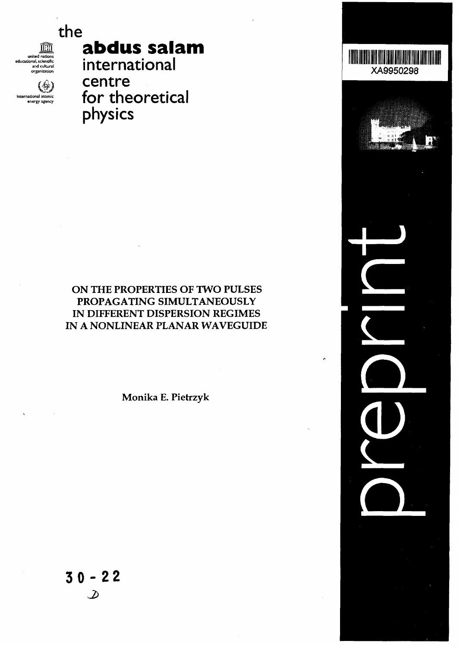# **the**

皿 nited nations cational, scientific and cultural organization

ั่∰ไ national atomi energy agency

# **abdus salam**

**international centre for theoretical physics**

# ON THE PROPERTIES OF TWO PULSES PROPAGATING SIMULTANEOUSLY IN DIFFERENT DISPERSION REGIMES IN A NONLINEAR PLANAR WAVEGUIDE

Monika E. Pietrzyk

**30-2 2** $\mathcal{D}% _{M_{1},M_{2}}^{\alpha,\beta}(\varepsilon)$ 

Hillilli XA9950298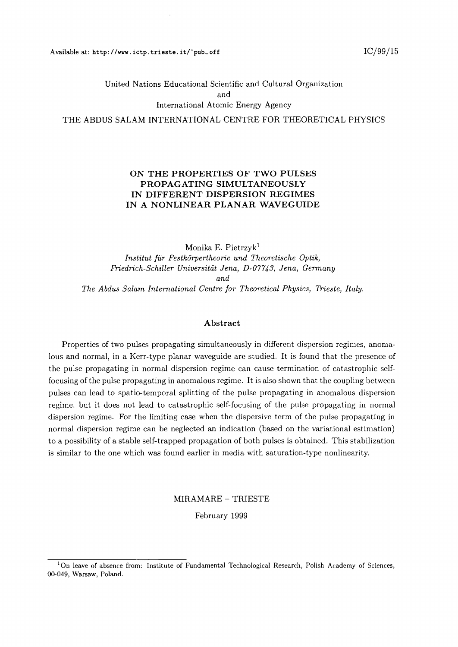## United Nations Educational Scientific and Cultural Organization and International Atomic Energy Agency THE ABDUS SALAM INTERNATIONAL CENTRE FOR THEORETICAL PHYSICS

#### **ON THE PROPERTIES OF TWO PULSES PROPAGATING SIMULTANEOUSLY IN DIFFERENT DISPERSION REGIMES IN A NONLINEAR PLANAR WAVEGUIDE**

Monika E. Pietrzyk<sup>1</sup> *Institut fur Festkorpertheorie und Theoretische Optik, Friedrich-Schiller Universitdt Jena, D-07743, Jena, Germany and The Abdus Salam International Centre for Theoretical Physics, Trieste, Italy.*

#### Abstract

Properties of two pulses propagating simultaneously in different dispersion regimes, anomalous and normal, in a Kerr-type planar waveguide are studied. It is found that the presence of the pulse propagating in normal dispersion regime can cause termination of catastrophic selffocusing of the pulse propagating in anomalous regime. It is also shown that the coupling between pulses can lead to spatio-temporal splitting of the pulse propagating in anomalous dispersion regime, but it does not lead to catastrophic self-focusing of the pulse propagating in normal dispersion regime. For the limiting case when the dispersive term of the pulse propagating in normal dispersion regime can be neglected an indication (based on the variational estimation) to a possibility of a stable self-trapped propagation of both pulses is obtained. This stabilization is similar to the one which was found earlier in media with saturation-type nonlinearity.

#### MIRAMARE - TRIESTE

February 1999

<sup>&</sup>lt;sup>1</sup>On leave of absence from: Institute of Fundamental Technological Research, Polish Academy of Sciences, 00-049, Warsaw, Poland.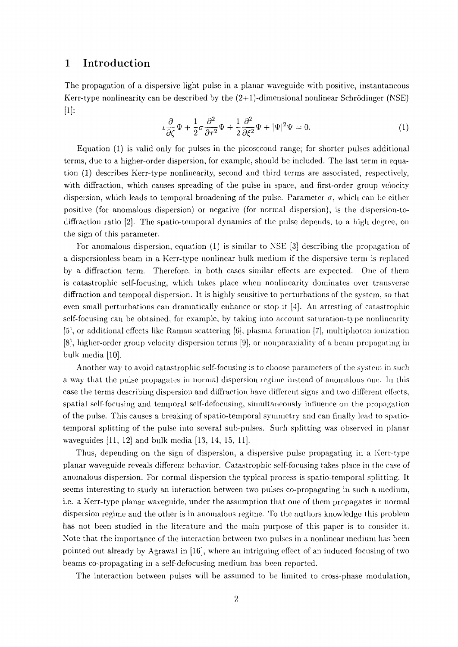## 1 Introduction

The propagation of a dispersive light pulse in a planar waveguide with positive, instantaneous Kerr-type nonlinearity can be described by the  $(2+1)$ -dimensional nonlinear Schrödinger (NSE) [1]:

$$
\iota \frac{\partial}{\partial \zeta} \Psi + \frac{1}{2} \sigma \frac{\partial^2}{\partial \tau^2} \Psi + \frac{1}{2} \frac{\partial^2}{\partial \xi^2} \Psi + |\Psi|^2 \Psi = 0.
$$
 (1)

Equation (1) is valid only for pulses in the picosecond range; for shorter pulses additional terms, due to a higher-order dispersion, for example, should be included. The last term in equation (1) describes Kerr-type nonlinearity, second and third terms are associated, respectively, with diffraction, which causes spreading of the pulse in space, and first-order group velocity dispersion, which leads to temporal broadening of the pulse. Parameter  $\sigma$ , which can be either positive (for anomalous dispersion) or negative (for normal dispersion), is the dispersion-todiffraction ratio [2]. The spatio-temporal dynamics of the pulse depends, to a high degree, on the sign of this parameter.

For anomalous dispersion, equation (1) is similar to NSE [3] describing the propagation of a dispersionless beam in a Kerr-type nonlinear bulk medium if the dispersive term is replaced by a diffraction term. Therefore, in both cases similar effects are expected. One of them is catastrophic self-focusing, which takes place when nonlinearity dominates over transverse diffraction and temporal dispersion. It is highly sensitive to perturbations of the system, so that even small perturbations can dramatically enhance or stop it [4j. An arresting of catastrophic self-focusing can be obtained, for example, by taking into account saturation-type nonlinearity [5], or additional effects like Raman scattering [6], plasma formation [7], multiphoton ionization [8], higher-order group velocity dispersion terms [9], or nonparaxiality of a beam propagating in bulk media [10].

Another way to avoid catastrophic self-focusing is to choose parameters of the system in such a way that the pulse propagates in normal dispersion regime instead of anomalous one. In this case the terms describing dispersion and diffraction have different signs and two different effects, spatial self-focusing and temporal self-defocusing, simultaneously influence on the propagation of the pulse. This causes a breaking of spatio-temporal symmetry and can finally lead to spatiotemporal splitting of the pulse into several sub-pulses. Such splitting was observed in planar waveguides [11, 12] and bulk media [13, 14, 15, 11].

Thus, depending on the sign of dispersion, a dispersive pulse propagating in a Kerr-type planar waveguide reveals different behavior. Catastrophic self-focusing takes place in the case of anomalous dispersion. For normal dispersion the typical process is spatio-temporal splitting. It seems interesting to study an interaction between two pulses co-propagating in such a medium, i.e. a Kerr-type planar waveguide, under the assumption that one of them propagates in normal dispersion regime and the other is in anomalous regime. To the authors knowledge this problem has not been studied in the literature and the main purpose of this paper is to consider it. Note that the importance of the interaction between two pulses in a nonlinear medium has been pointed out already by Agrawal in [16], where an intriguing effect of an induced focusing of two beams co-propagating in a self-defocusing medium has been reported.

The interaction between pulses will be assumed to be limited to cross-phase modulation,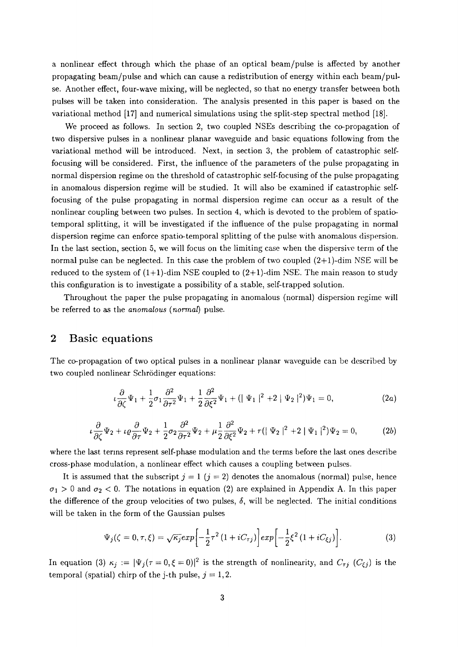a nonlinear effect through which the phase of an optical beam/pulse is affected by another propagating beam/pulse and which can cause a redistribution of energy within each beam/pulse. Another effect, four-wave mixing, will be neglected, so that no energy transfer between both pulses will be taken into consideration. The analysis presented in this paper is based on the variational method [17] and numerical simulations using the split-step spectral method [18].

We proceed as follows. In section 2, two coupled NSEs describing the co-propagation of two dispersive pulses in a nonlinear planar waveguide and basic equations following from the variational method will be introduced. Next, in section 3, the problem of catastrophic selffocusing will be considered. First, the influence of the parameters of the pulse propagating in normal dispersion regime on the threshold of catastrophic self-focusing of the pulse propagating in anomalous dispersion regime will be studied. It will also be examined if catastrophic selffocusing of the pulse propagating in normal dispersion regime can occur as a result of the nonlinear coupling between two pulses. In section 4, which is devoted to the problem of spatiotemporal splitting, it will be investigated if the influence of the pulse propagating in normal dispersion regime can enforce spatio-temporal splitting of the pulse with anomalous dispersion. In the last section, section 5, we will focus on the limiting case when the dispersive term of the normal pulse can be neglected. In this case the problem of two coupled  $(2+1)$ -dim NSE will be reduced to the system of  $(1+1)$ -dim NSE coupled to  $(2+1)$ -dim NSE. The main reason to study this configuration is to investigate a possibility of a stable, self-trapped solution.

Throughout the paper the pulse propagating in anomalous (normal) dispersion regime will be referred to as the *anomalous (normal)* pulse.

## 2 Basic equations

The co-propagation of two optical pulses in a nonlinear planar waveguide can be described by two coupled nonlinear Schrödinger equations:

$$
\iota \frac{\partial}{\partial \zeta} \Psi_1 + \frac{1}{2} \sigma_1 \frac{\partial^2}{\partial \tau^2} \Psi_1 + \frac{1}{2} \frac{\partial^2}{\partial \xi^2} \Psi_1 + \left( \left| \Psi_1 \right|^2 + 2 \left| \Psi_2 \right|^2 \right) \Psi_1 = 0, \tag{2a}
$$

$$
\iota \frac{\partial}{\partial \zeta} \Psi_2 + \iota \varrho \frac{\partial}{\partial \tau} \Psi_2 + \frac{1}{2} \sigma_2 \frac{\partial^2}{\partial \tau^2} \Psi_2 + \mu \frac{1}{2} \frac{\partial^2}{\partial \xi^2} \Psi_2 + r \left( |\Psi_2|^2 + 2 |\Psi_1|^2 \right) \Psi_2 = 0, \tag{2b}
$$

where the last terms represent self-phase modulation and the terms before the last ones describe cross-phase modulation, a nonlinear effect which causes a coupling between pulses.

It is assumed that the subscript  $j = 1$   $(j = 2)$  denotes the anomalous (normal) pulse, hence  $\sigma_1 > 0$  and  $\sigma_2 < 0$ . The notations in equation (2) are explained in Appendix A. In this paper the difference of the group velocities of two pulses, *6,* will be neglected. The initial conditions will be taken in the form of the Gaussian pulses

$$
\Psi_j(\zeta = 0, \tau, \xi) = \sqrt{\kappa_j} exp\left[-\frac{1}{2}\tau^2 (1 + iC_{\tau j})\right] exp\left[-\frac{1}{2}\xi^2 (1 + iC_{\xi j})\right].
$$
\n(3)

In equation (3)  $\kappa_j := |\Psi_j(\tau = 0, \xi = 0)|^2$  is the strength of nonlinearity, and  $C_{\tau j}$  ( $C_{\xi j}$ ) is the temporal (spatial) chirp of the j-th pulse,  $j = 1, 2$ .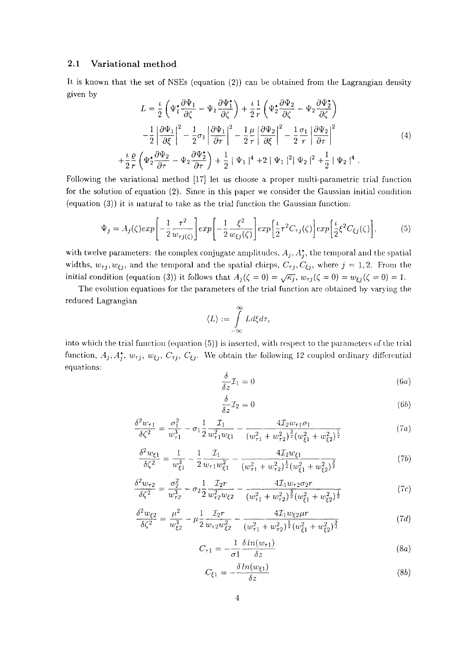#### 2.1 Variational method

It is known that the set of NSEs (equation (2)) can be obtained from the Lagrangian density given by

$$
L = \frac{\iota}{2} \left( \Psi_1^* \frac{\partial \Psi_1}{\partial \zeta} - \Psi_1 \frac{\partial \Psi_1^*}{\partial \zeta} \right) + \frac{\iota}{2} \frac{1}{r} \left( \Psi_2^* \frac{\partial \Psi_2}{\partial \zeta} - \Psi_2 \frac{\partial \Psi_2^*}{\partial \zeta} \right)
$$

$$
- \frac{1}{2} \left| \frac{\partial \Psi_1}{\partial \xi} \right|^2 - \frac{1}{2} \sigma_1 \left| \frac{\partial \Psi_1}{\partial \tau} \right|^2 - \frac{1}{2} \frac{\mu}{r} \left| \frac{\partial \Psi_2}{\partial \xi} \right|^2 - \frac{1}{2} \frac{\sigma_1}{r} \left| \frac{\partial \Psi_2}{\partial \tau} \right|^2
$$

$$
+ \frac{\iota}{2} \frac{\rho}{r} \left( \Psi_2^* \frac{\partial \Psi_2}{\partial \tau} - \Psi_2 \frac{\partial \Psi_2^*}{\partial \tau} \right) + \frac{1}{2} \left| \Psi_1 \right|^4 + 2 \left| \Psi_1 \right|^2 \left| \Psi_2 \right|^2 + \frac{1}{2} \left| \Psi_2 \right|^4.
$$
(4)

Following the variational method [17] let us choose a proper multi-parametric trial function for the solution of equation (2). Since in this paper we consider the Gaussian initial condition (equation (3)) it is natural to take as the trial function the Gaussian function:

$$
\Psi_j = A_j(\zeta) exp\left[-\frac{1}{2} \frac{\tau^2}{w_{\tau j(\zeta)}}\right] exp\left[-\frac{1}{2} \frac{\xi^2}{w_{\xi j}(\zeta)}\right] exp\left[\frac{\iota}{2} \tau^2 C_{\tau j}(\zeta)\right] exp\left[\frac{\iota}{2} \xi^2 C_{\xi j}(\zeta)\right],\tag{5}
$$

with twelve parameters: the complex conjugate amplitudes,  $A_j$ ,  $A_j^*$ , the temporal and the spatial widths,  $w_{\tau j}$ ,  $w_{\xi j}$ , and the temporal and the spatial chirps,  $C_{\tau j}$ ,  $C_{\xi j}$ , where  $j = 1, 2$ . From the initial condition (equation (3)) it follows that  $A_j(\zeta = 0) = \sqrt{\kappa_j}$ ,  $w_{\tau j}(\zeta = 0) = w_{\xi j}(\zeta = 0) = 1$ .

The evolution equations for the parameters of the trial function are obtained by varying the reduced Lagrangian

$$
\langle L \rangle := \int_{-\infty}^{\infty} L d\xi d\tau.
$$

into which the trial function (equation (5)) is inserted, with respect to the parameters of the trial function,  $A_j$ ,  $A_j^*$ ,  $w_{\tau j}$ ,  $w_{\xi j}$ ,  $C_{\tau j}$ ,  $C_{\xi j}$ . We obtain the following 12 coupled ordinary differential equations:

$$
\frac{\delta}{\delta z}\mathcal{I}_1 = 0\tag{6a}
$$

$$
\frac{\delta}{\delta z}\mathcal{I}_2 = 0\tag{6b}
$$

$$
\frac{\delta^2 w_{\tau 1}}{\delta \zeta^2} = \frac{\sigma_1^2}{w_{\tau 1}^3} - \sigma_1 \frac{1}{2} \frac{\mathcal{I}_1}{w_{\tau 1}^2 w_{\zeta 1}} - \frac{4 \mathcal{I}_2 w_{\tau 1} \sigma_1}{(w_{\tau 1}^2 + w_{\tau 2}^2)^{\frac{3}{2}} (w_{\zeta 1}^2 + w_{\zeta 2}^2)^{\frac{1}{2}}}
$$
(7a)

$$
\frac{\delta^2 w_{\xi 1}}{\delta \zeta^2} = \frac{1}{w_{\xi 1}^3} - \frac{1}{2} \frac{\mathcal{I}_1}{w_{\tau 1} w_{\xi 1}^2} - \frac{4 \mathcal{I}_2 w_{\xi 1}}{(w_{\tau 1}^2 + w_{\tau 2}^2)^{\frac{1}{2}} (w_{\xi 1}^2 + w_{\xi 2}^2)^{\frac{3}{2}}}
$$
(7b)

$$
\frac{\delta^2 w_{\tau 2}}{\delta \zeta^2} = \frac{\sigma_2^2}{w_{\tau 2}^3} - \sigma_2 \frac{1}{2} \frac{\mathcal{I}_{2}r}{w_{\tau 2}^2 w_{\zeta 2}} - \frac{4 \mathcal{I}_{1} w_{\tau 2} \sigma_2 r}{(w_{\tau 1}^2 + w_{\tau 2}^2)^{\frac{3}{2}} (w_{\zeta 1}^2 + w_{\zeta 2}^2)^{\frac{1}{2}}}
$$
(7c)

$$
\frac{\delta^2 w_{\xi 2}}{\delta \zeta^2} = \frac{\mu^2}{w_{\xi 2}^3} - \mu \frac{1}{2} \frac{\mathcal{I}_2 r}{w_{\tau 2} w_{\xi 2}^2} - \frac{4 \mathcal{I}_1 w_{\xi 2} \mu r}{(w_{\tau 1}^2 + w_{\tau 2}^2)^{\frac{1}{2}} (w_{\xi 1}^2 + w_{\xi 2}^2)^{\frac{3}{2}}}
$$
(7d)

$$
C_{\tau 1} = -\frac{1}{\sigma 1} \frac{\delta \ln(w_{\tau 1})}{\delta z} \tag{8a}
$$

$$
C_{\xi 1} = -\frac{\delta \ln(w_{\xi 1})}{\delta z} \tag{8b}
$$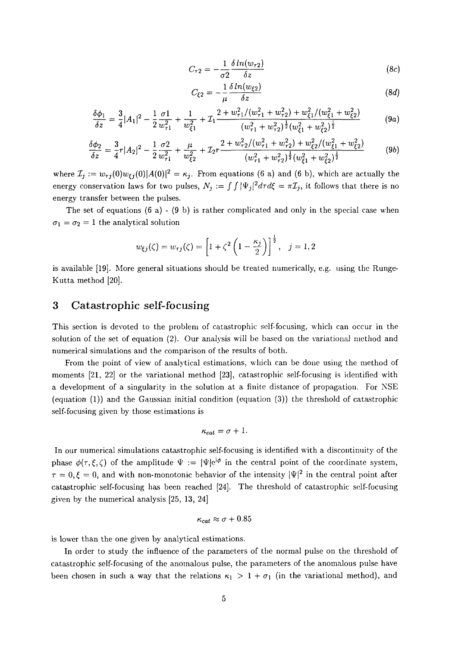$$
C_{\tau 2} = -\frac{1}{\sigma 2} \frac{\delta \ln(w_{\tau 2})}{\delta z} \tag{8c}
$$

$$
C_{\xi 2} = -\frac{1}{\mu} \frac{\delta \ln(w_{\xi 2})}{\delta z} \tag{8d}
$$

$$
\frac{\delta\phi_1}{\delta z} = \frac{3}{4}|A_1|^2 - \frac{1}{2}\frac{\sigma 1}{w_{\tau_1}^2} + \frac{1}{w_{\xi_1}^2} + \mathcal{I}_1 \frac{2 + w_{\tau_1}^2/(w_{\tau_1}^2 + w_{\tau_2}^2) + w_{\xi_1}^2/(w_{\xi_1}^2 + w_{\xi_2}^2)}{(w_{\tau_1}^2 + w_{\tau_2}^2)^{\frac{1}{2}}(w_{\xi_1}^2 + w_{\xi_2}^2)^{\frac{1}{2}}}
$$
(9a)

$$
\frac{\delta\phi_2}{\delta z} = \frac{3}{4}r|A_2|^2 - \frac{1}{2}\frac{\sigma_2}{w_{\tau_1}^2} + \frac{\mu}{w_{\xi_2}^2} + \mathcal{I}_2r\frac{2+w_{\tau_2}^2/(w_{\tau_1}^2 + w_{\tau_2}^2) + w_{\xi_2}^2/(w_{\xi_1}^2 + w_{\xi_2}^2)}{(w_{\tau_1}^2 + w_{\tau_2}^2)^{\frac{1}{2}}(w_{\xi_1}^2 + w_{\xi_2}^2)^{\frac{1}{2}}}
$$
(9b)

where  $\mathcal{I}_j := w_{\tau j}(0) w_{\xi j}(0) |A(0)|^2 = \kappa_j$ . From equations (6 a) and (6 b), which are actually the energy conservation laws for two pulses,  $N_j := \int \int |\Psi_j|^2 d\tau d\xi = \pi \mathcal{I}_j$ , it follows that there is no energy transfer between the pulses.

The set of equations  $(6 a) - (9 b)$  is rather complicated and only in the special case when  $\sigma_1 = \sigma_2 = 1$  the analytical solution

$$
w_{\xi j}(\zeta) = w_{\tau j}(\zeta) = \left[1 + \zeta^2 \left(1 - \frac{\kappa_j}{2}\right)\right]^{\frac{1}{2}}, \quad j = 1, 2
$$

is available [19]. More general situations should be treated numerically, e.g. using the Runge-Kutta method [20].

### 3 Catastrophic self-focusing

This section is devoted to the problem of catastrophic self-focusing, which can occur in the solution of the set of equation (2). Our analysis will be based on the variational method and numerical simulations and the comparison of the results of both.

From the point of view of analytical estimations, which can be done using the method of moments [21, 22] or the variational method [23], catastrophic self-focusing is identified with a development of a singularity in the solution at a finite distance of propagation. For NSE (equation (1)) and the Gaussian initial condition (equation (3)) the threshold of catastrophic self-focusing given by those estimations is

$$
\kappa_{cat}=\sigma+1.
$$

In our numerical simulations catastrophic self-focusing is identified with a discontinuity of the phase  $\phi(\tau,\xi,\zeta)$  of the amplitude  $\Psi := |\Psi|e^{i\phi}$  in the central point of the coordinate system,  $\tau = 0, \xi = 0$ , and with non-monotonic behavior of the intensity  $|\Psi|^2$  in the central point after catastrophic self-focusing has been reached [24]. The threshold of catastrophic self-focusing given by the numerical analysis [25, 13, 24]

$$
\kappa_{cat} \approx \sigma + 0.85
$$

is lower than the one given by analytical estimations.

In order to study the influence of the parameters of the normal pulse on the threshold of catastrophic self-focusing of the anomalous pulse, the parameters of the anomalous pulse have been chosen in such a way that the relations  $\kappa_1 > 1 + \sigma_1$  (in the variational method), and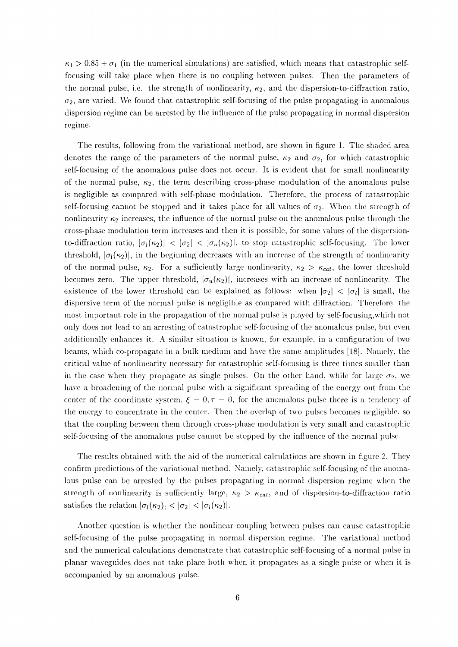$\kappa_1 > 0.85 + \sigma_1$  (in the numerical simulations) are satisfied, which means that catastrophic selffocusing will take place when there is no coupling between pulses. Then the parameters of the normal pulse, i.e. the strength of nonlinearity,  $\kappa_2$ , and the dispersion-to-diffraction ratio,  $\sigma_2$ , are varied. We found that catastrophic self-focusing of the pulse propagating in anomalous dispersion regime can be arrested by the influence of the pulse propagating in normal dispersion regime.

The results, following from the variational method, are shown in figure 1. The shaded area denotes the range of the parameters of the normal pulse,  $\kappa_2$  and  $\sigma_2$ , for which catastrophic self-focusing of the anomalous pulse does not occur. It is evident that for small nonlinearity of the normal pulse,  $\kappa_2$ , the term describing cross-phase modulation of the anomalous pulse is negligible as compared with self-phase modulation. Therefore, the process of catastrophic self-focusing cannot be stopped and it takes place for all values of  $\sigma_2$ . When the strength of nonlinearity  $\kappa_2$  increases, the influence of the normal pulse on the anomalous pulse through the cross-phase modulation term increases and then it is possible, for some values of the dispersionto-diffraction ratio,  $|\sigma_1(\kappa_2)| < |\sigma_2| < |\sigma_u(\kappa_2)|$ , to stop catastrophic self-focusing. The lower threshold,  $|\sigma_l(\kappa_2)|$ , in the beginning decreases with an increase of the strength of nonlinearity of the normal pulse,  $\kappa_2$ . For a sufficiently large nonlinearity,  $\kappa_2 > \kappa_{cat}$ , the lower threshold becomes zero. The upper threshold,  $|\sigma_u(\kappa_2)|$ , increases with an increase of nonlinearity. The existence of the lower threshold can be explained as follows: when  $|\sigma_2| < |\sigma_1|$  is small, the dispersive term of the normal pulse is negligible as compared with diffraction. Therefore, the most important role in the propagation of the normal pulse is played by self-focusing,which not only does not lead to an arresting of catastrophic self-focusing of the anomalous pulse, but even additionally enhances it. A similar situation is known, for example, in a configuration of two beams, which co-propagate in a bulk medium and have the same amplitudes [18]. Namely, the critical value of nonlinearity necessary for catastrophic self-focusing is three times smaller than in the case when they propagate as single pulses. On the other hand, while for large  $\sigma_2$ , we have a broadening of the normal pulse with a significant spreading of the energy out from the center of the coordinate system,  $\xi = 0, \tau = 0$ , for the anomalous pulse there is a tendency of the energy to concentrate in the center. Then the overlap of two pulses becomes negligible, so that the coupling between them through cross-phase modulation is very small and catastrophic self-focusing of the anomalous pulse cannot be stopped by the influence of the normal pulse.

The results obtained with the aid of the numerical calculations are shown in figure 2. They confirm predictions of the variational method. Namely, catastrophic self-focusing of the anomalous pulse can be arrested by the pulses propagating in normal dispersion regime when the strength of nonlinearity is sufficiently large,  $\kappa_2 > \kappa_{cat}$ , and of dispersion-to-diffraction ratio satisfies the relation  $|\sigma_l(\kappa_2)| < |\sigma_2| < |\sigma_l(\kappa_2)|$ .

Another question is whether the nonlinear coupling between pulses can cause catastrophic self-focusing of the pulse propagating in normal dispersion regime. The variational method and the numerical calculations demonstrate that catastrophic self-focusing of a normal pulse in planar waveguides does not take place both when it propagates as a single pulse or when it is accompanied by an anomalous pulse.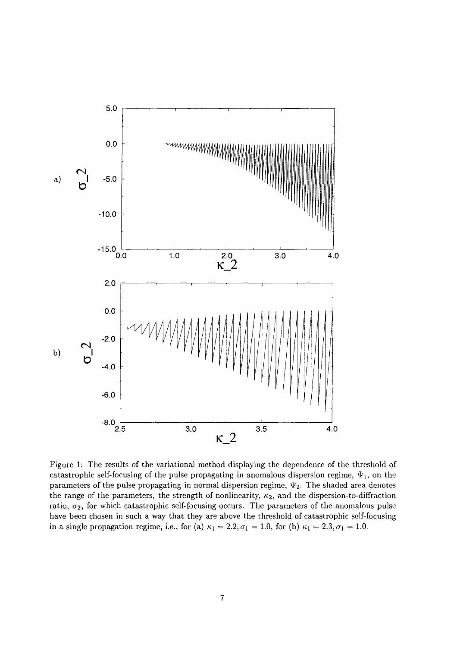

Figure 1: The results of the variational method displaying the dependence of the threshold of catastrophic self-focusing of the pulse propagating in anomalous dispersion regime,  $\Psi_1$ , on the parameters of the pulse propagating in normal dispersion regime,  $\Psi_2$ . The shaded area denotes the range of the parameters, the strength of nonlinearity,  $\kappa_2$ , and the dispersion-to-diffraction ratio,  $\sigma_2$ , for which catastrophic self-focusing occurs. The parameters of the anomalous pulse have been chosen in such a way that they are above the threshold of catastrophic self-focusing in a single propagation regime, i.e., for (a)  $\kappa_1 = 2.2, \sigma_1 = 1.0$ , for (b)  $\kappa_1 = 2.3, \sigma_1 = 1.0$ .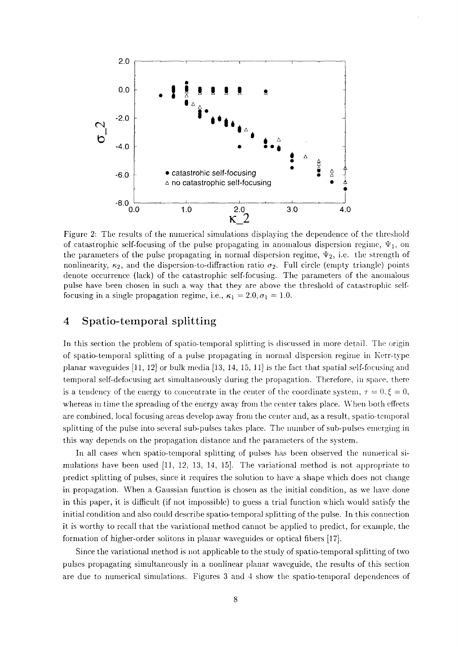

Figure 2: The results of the numerical simulations displaying the dependence of the threshold of catastrophic self-focusing of the pulse propagating in anomalous dispersion regime,  $\Psi_1$ , on the parameters of the pulse propagating in normal dispersion regime,  $\Psi_2$ , i.e. the strength of nonlinearity,  $\kappa_2$ , and the dispersion-to-diffraction ratio  $\sigma_2$ . Full circle (empty triangle) points denote occurrence (lack) of the catastrophic self-focusing. The parameters of the anomalous pulse have been chosen in such a way that they are above the threshold of catastrophic selffocusing in a single propagation regime, i.e.,  $\kappa_1 = 2.0, \sigma_1 = 1.0$ .

#### 4 Spatio-temporal splitting

In this section the problem of spatio-temporal splitting is discussed in more detail. The origin of spatio-temporal splitting of a pulse propagating in normal dispersion regime in Kerr-type planar waveguides [11, 12] or bulk media [13, 14, 15, 11] is the fact that spatial self-focusing and temporal self-defocusing act simultaneously during the propagation. Therefore, in space, there is a tendency of the energy to concentrate in the center of the coordinate system,  $\tau = 0, \xi = 0$ , whereas in time the spreading of the energy away from the center takes place. When both effects are combined, local focusing areas develop away from the center and, as a result, spatio-temporal splitting of the pulse into several sub-pulses takes place. The number of sub-pulses emerging in this way depends on the propagation distance and the parameters of the system.

In all cases when spatio-temporal splitting of pulses has been observed the numerical simulations have been used [11, 12, 13, 14, 15]. The variational method is not appropriate to predict splitting of pulses, since it requires the solution to have a shape which does not change in propagation. When a Gaussian function is chosen as the initial condition, as we have done in this paper, it is difficult (if not impossible) to guess a trial function which would satisfy the initial condition and also could describe spatio-temporal splitting of the pulse. In this connection it is worthy to recall that the variational method cannot be applied to predict, for example, the formation of higher-order solitons in planar waveguides or optical fibers [17].

Since the variational method is not applicable to the study of spatio-temporal splitting of two pulses propagating simultaneously in a nonlinear planar waveguide, the results of this section are due to numerical simulations. Figures 3 and 4 show the spatio-temporal dependences of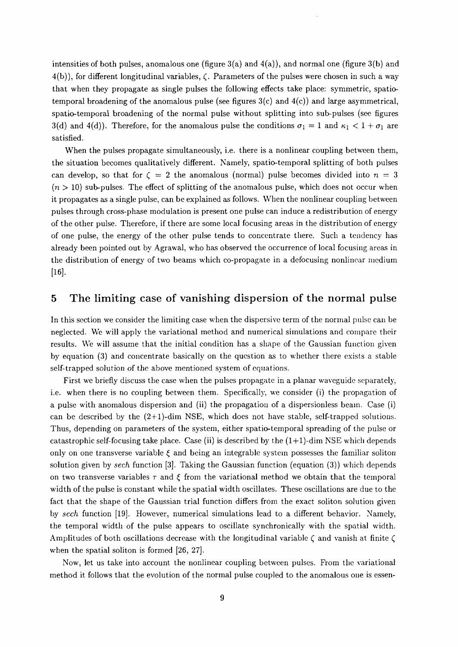intensities of both pulses, anomalous one (figure  $3(a)$  and  $4(a)$ ), and normal one (figure  $3(b)$  and  $4(b)$ , for different longitudinal variables,  $\zeta$ . Parameters of the pulses were chosen in such a way that when they propagate as single pulses the following effects take place: symmetric, spatiotemporal broadening of the anomalous pulse (see figures  $3(c)$  and  $4(c)$ ) and large asymmetrical, spatio-temporal broadening of the normal pulse without splitting into sub-pulses (see figures 3(d) and 4(d)). Therefore, for the anomalous pulse the conditions  $\sigma_1 = 1$  and  $\kappa_1 < 1 + \sigma_1$  are satisfied.

When the pulses propagate simultaneously, i.e. there is a nonlinear coupling between them, the situation becomes qualitatively different. Namely, spatio-temporal splitting of both pulses can develop, so that for  $\zeta = 2$  the anomalous (normal) pulse becomes divided into  $n = 3$  $(n > 10)$  sub-pulses. The effect of splitting of the anomalous pulse, which does not occur when it propagates as a single pulse, can be explained as follows. When the nonlinear coupling between pulses through cross-phase modulation is present one pulse can induce a redistribution of energy of the other pulse. Therefore, if there are some local focusing areas in the distribution of energy of one pulse, the energy of the other pulse tends to concentrate there. Such a tendency has already been pointed out by Agrawal, who has observed the occurrence of local focusing areas in the distribution of energy of two beams which co-propagate in a defocusing nonlinear medium [16].

### 5 The limiting case of vanishing dispersion of the normal pulse

In this section we consider the limiting case when the dispersive term of the normal pulse can be neglected. We will apply the variational method and numerical simulations and compare their results. We will assume that the initial condition has a shape of the Gaussian function given by equation (3) and concentrate basically on the question as to whether there exists a stable self-trapped solution of the above mentioned system of equations.

First we briefly discuss the case when the pulses propagate in a planar waveguide separately, i.e. when there is no coupling between them. Specifically, we consider (i) the propagation of a pulse with anomalous dispersion and (ii) the propagation of a dispersionless beam. Case (i) can be described by the  $(2+1)$ -dim NSE, which does not have stable, self-trapped solutions. Thus, depending on parameters of the system, either spatio-temporal spreading of the pulse or catastrophic self-focusing take place. Case (ii) is described by the  $(1+1)$ -dim NSE which depends only on one transverse variable  $\xi$  and being an integrable system possesses the familiar soliton solution given by *sech* function [3]. Taking the Gaussian function (equation (3)) which depends on two transverse variables  $\tau$  and  $\xi$  from the variational method we obtain that the temporal width of the pulse is constant while the spatial width oscillates. These oscillations are due to the fact that the shape of the Gaussian trial function differs from the exact soliton solution given by *sech* function [19]. However, numerical simulations lead to a different behavior. Namely, the temporal width of the pulse appears to oscillate synchronically with the spatial width. Amplitudes of both oscillations decrease with the longitudinal variable  $\zeta$  and vanish at finite  $\zeta$ when the spatial soliton is formed [26, 27].

Now, let us take into account the nonlinear coupling between pulses. From the variational method it follows that the evolution of the normal pulse coupled to the anomalous one is essen-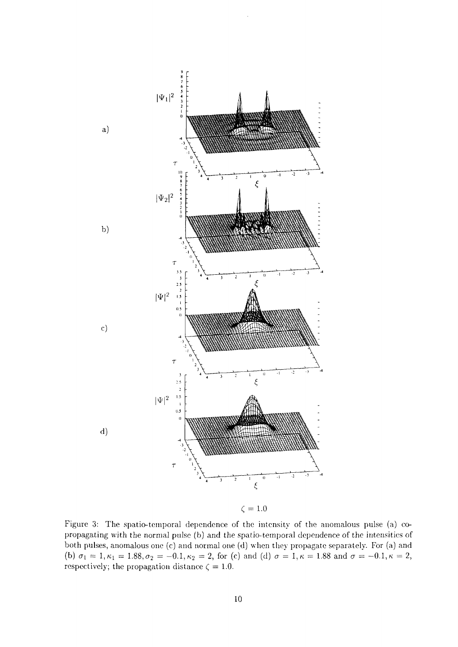

Figure 3: The spatio-temporal dependence of the intensity of the anomalous pulse (a) copropagating with the normal pulse (b) and the spatio-temporal dependence of the intensities of both pulses, anomalous one (c) and normal one (d) when they propagate separately. For (a) and (b)  $\sigma_1 = 1, \kappa_1 = 1.88, \sigma_2 = -0.1, \kappa_2 = 2$ , for (c) and (d)  $\sigma = 1, \kappa = 1.88$  and  $\sigma = -0.1, \kappa = 2$ , respectively; the propagation distance  $\zeta = 1.0$ .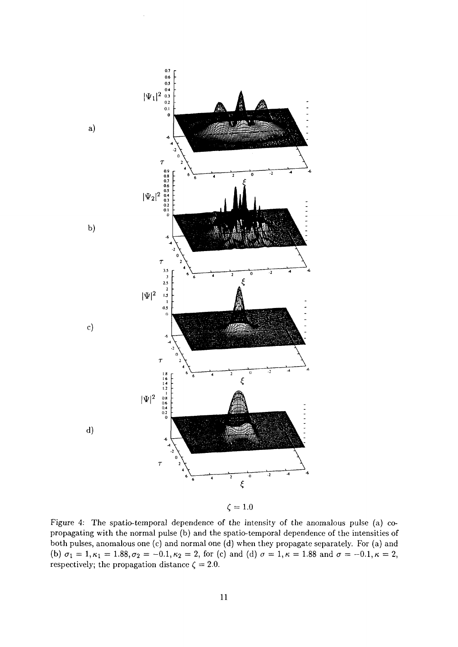

Figure 4: The spatio-temporal dependence of the intensity of the anomalous pulse (a) copropagating with the normal pulse (b) and the spatio-temporal dependence of the intensities of both pulses, anomalous one (c) and normal one (d) when they propagate separately. For (a) and (b)  $\sigma_1 = 1, \kappa_1 = 1.88, \sigma_2 = -0.1, \kappa_2 = 2$ , for (c) and (d)  $\sigma = 1, \kappa = 1.88$  and  $\sigma = -0.1, \kappa = 2$ , respectively; the propagation distance  $\zeta = 2.0$ .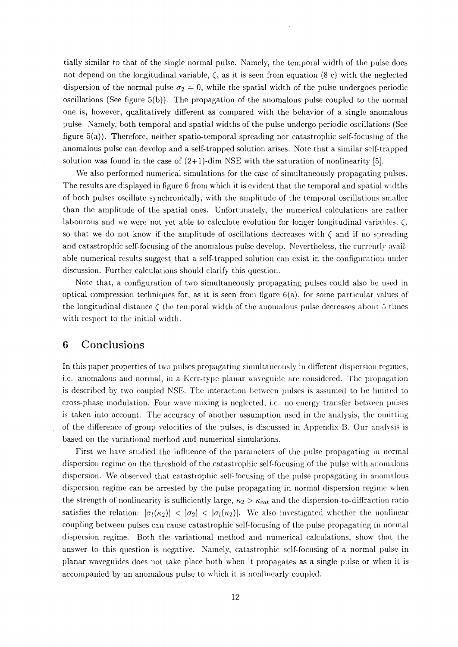tially similar to that of the single normal pulse. Namely, the temporal width of the pulse does not depend on the longitudinal variable, *(,* as it is seen from equation (8 c) with the neglected dispersion of the normal pulse  $\sigma_2 = 0$ , while the spatial width of the pulse undergoes periodic oscillations (See figure  $5(b)$ ). The propagation of the anomalous pulse coupled to the normal one is, however, qualitatively different as compared with the behavior of a single anomalous pulse. Namely, both temporal and spatial widths of the pulse undergo periodic oscillations (See figure 5(a)). Therefore, neither spatio-temporal spreading nor catastrophic self-focusing of the anomalous pulse can develop and a self-trapped solution arises. Note that a similar self-trapped solution was found in the case of  $(2+1)$ -dim NSE with the saturation of nonlinearity [5].

We also performed numerical simulations for the case of simultaneously propagating pulses. The results are displayed in figure 6 from which it is evident that the temporal and spatial widths of both pulses oscillate synchronically, with the amplitude of the temporal oscillations smaller than the amplitude of the spatial ones. Unfortunately, the numerical calculations arc rather labourous and we were not yet able to calculate evolution for longer longitudinal variables,  $\zeta$ , so that we do not know if the amplitude of oscillations decreases with  $\zeta$  and if no spreading and catastrophic self-focusing of the anomalous pulse develop. Nevertheless, the currently available numerical results suggest that a self-trapped solution can exist in the configuration under discussion. Further calculations should clarify this question.

Note that, a configuration of two simultaneously propagating pulses could also be used in optical compression techniques for, as it is seen from figure 6(a), for some particular values of the longitudinal distance  $\zeta$  the temporal width of the anomalous pulse decreases about 5 times with respect to the initial width.

#### 6 Conclusions

In this paper properties of two pulses propagating simultaneously in different dispersion regimes, i.e. anomalous and normal, in a Kerr-type planar waveguide are considered. The propagation is described by two coupled NSE. The interaction between pulses is assumed to be limited to cross-phase modulation. Four wave mixing is neglected, i.e. no energy transfer between pulses is taken into account. The accuracy of another assumption used in the analysis, the omitting of the difference of group velocities of the pulses, is discussed in Appendix B. Our analysis is based on the variational method and numerical simulations.

First we have studied the influence of the parameters of the pulse propagating in normal dispersion regime on the threshold of the catastrophic self-focusing of the pulse with anomalous dispersion. We observed that catastrophic self-focusing of the pulse propagating in anomalous dispersion regime can be arrested by the pulse propagating in normal dispersion regime when the strength of nonlinearity is sufficiently large,  $\kappa_2 > \kappa_{cat}$  and the dispersion-to-diffraction ratio satisfies the relation:  $|\sigma_l(\kappa_2)| < |\sigma_2| < |\sigma_l(\kappa_2)|$ . We also investigated whether the nonlinear coupling between pulses can cause catastrophic self-focusing of the pulse propagating in normal dispersion regime. Both the variational method and numerical calculations, show that the answer to this question is negative. Namely, catastrophic self-focusing of a normal pulse in planar waveguides does not take place both when it propagates as a single pulse or when it is accompanied by an anomalous pulse to which it is nonlinearly coupled.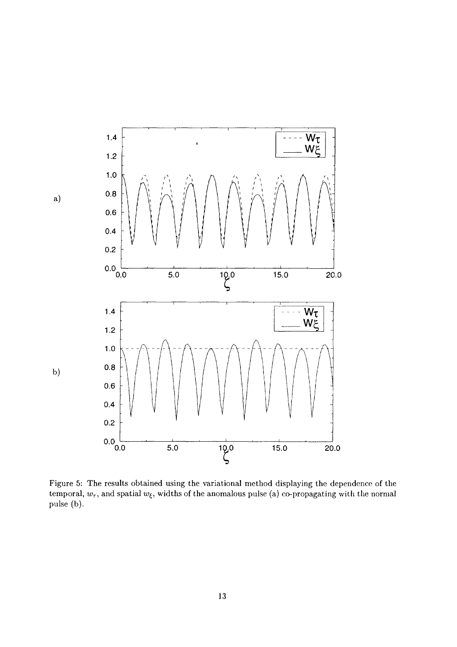

Figure 5: The results obtained using the variational method displaying the dependence of the temporal,  $w_{\tau}$ , and spatial  $w_{\xi}$ , widths of the anomalous pulse (a) co-propagating with the normal pulse (b).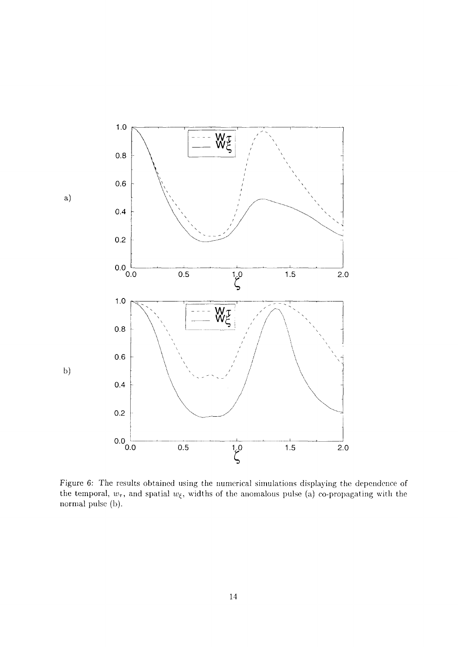

Figure 6: The results obtained using the numerical simulations displaying the dependence of the temporal,  $w_{\tau}$ , and spatial  $w_{\xi}$ , widths of the anomalous pulse (a) co-propagating with the normal pulse (b).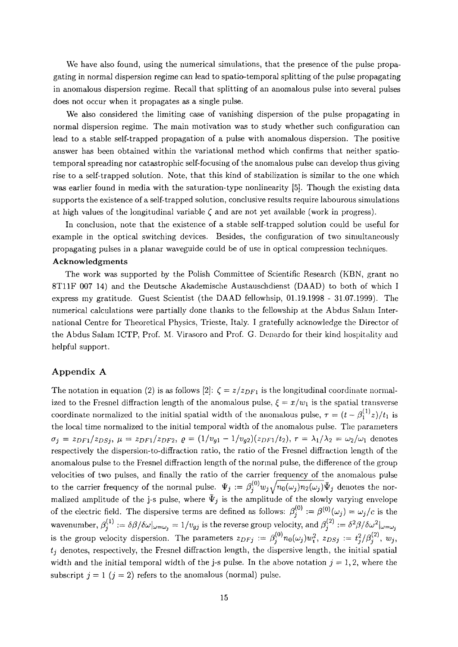We have also found, using the numerical simulations, that the presence of the pulse propagating in normal dispersion regime can lead to spatio-temporal splitting of the pulse propagating in anomalous dispersion regime. Recall that splitting of an anomalous pulse into several pulses does not occur when it propagates as a single pulse.

We also considered the limiting case of vanishing dispersion of the pulse propagating in normal dispersion regime. The main motivation was to study whether such configuration can lead to a stable self-trapped propagation of a pulse with anomalous dispersion. The positive answer has been obtained within the variational method which confirms that neither spatiotemporal spreading nor catastrophic self-focusing of the anomalous pulse can develop thus giving rise to a self-trapped solution. Note, that this kind of stabilization is similar to the one which was earlier found in media with the saturation-type nonlinearity [5]. Though the existing data supports the existence of a self-trapped solution, conclusive results require labourous simulations at high values of the longitudinal variable  $\zeta$  and are not yet available (work in progress).

In conclusion, note that the existence of a stable self-trapped solution could be useful for example in the optical switching devices. Besides, the configuration of two simultaneously propagating pulses in a planar waveguide could be of use in optical compression techniques. **Acknowledgments**

The work was supported by the Polish Committee of Scientific Research (KBN, grant no 8T11F 007 14) and the Deutsche Akademische Austauschdienst (DAAD) to both of which I express my gratitude. Guest Scientist (the DAAD fellowhsip, 01.19.1998 - 31.07.1999). The numerical calculations were partially done thanks to the fellowship at the Abdus Salam International Centre for Theoretical Physics, Trieste, Italy. I gratefully acknowledge the Director of the Abdus Salam ICTP, Prof. M. Virasoro and Prof. G. Denardo for their kind hospitality and helpful support.

#### **Appendix** A

The notation in equation (2) is as follows [2]:  $\zeta = z/z_{DF1}$  is the longitudinal coordinate normalized to the Fresnel diffraction length of the anomalous pulse,  $\xi = x/w_1$  is the spatial transverse coordinate normalized to the initial spatial width of the anomalous pulse,  $\tau = (t - \beta_1^{(1)}z)/t_1$  is the local time normalized to the initial temporal width of the anomalous pulse. The parameters  $\sigma_i = z_{DFT}/z_{DS_i}$ ,  $\mu = z_{DFT}/z_{DFT}$ ,  $\varrho = (1/v_{q1} - 1/v_{q2})(z_{DFT}/t_2)$ ,  $r = \lambda_1/\lambda_2 = \omega_2/\omega_1$  denotes respectively the dispersion-to-diffraction ratio, the ratio of the Fresnel diffraction length of the anomalous pulse to the Fresnel diffraction length of the normal pulse, the difference of the group velocities of two pulses, and finally the ratio of the carrier frequency of the anomalous pulse to the carrier frequency of the normal pulse.  $\Psi_j := \beta_j^{(0)} w_j \sqrt{n_0(\omega_j)n_2(\omega_j)} \bar{\Psi}_j$  denotes the normalized amplitude of the j-s pulse, where  $\bar{\Psi}_j$  is the amplitude of the slowly varying envelope of the electric field. The dispersive terms are defined as follows:  $\beta_j^{(0)} := \beta^{(0)}(\omega_j) = \omega_j/c$  is the wavenumber,  $\beta_j^{(1)} := \delta \beta/\delta \omega |_{\omega=\omega_j} = 1/v_{gj}$  is the reverse group velocity, and  $\beta_j^{(2)} := \delta^2 \beta/\delta \omega^2 |_{\omega=\omega_j}$ is the group velocity dispersion. The parameters  $z_{DFj} := \beta_j^{(0)} n_0(\omega_j) w_i^2$ ,  $z_{DSj} := t_j^2/\beta_j^{(2)}$ ,  $w_j$ ,  $t_j$  denotes, respectively, the Fresnel diffraction length, the dispersive length, the initial spatial width and the initial temporal width of the j-s pulse. In the above notation  $j = 1, 2$ , where the subscript  $j = 1$   $(j = 2)$  refers to the anomalous (normal) pulse.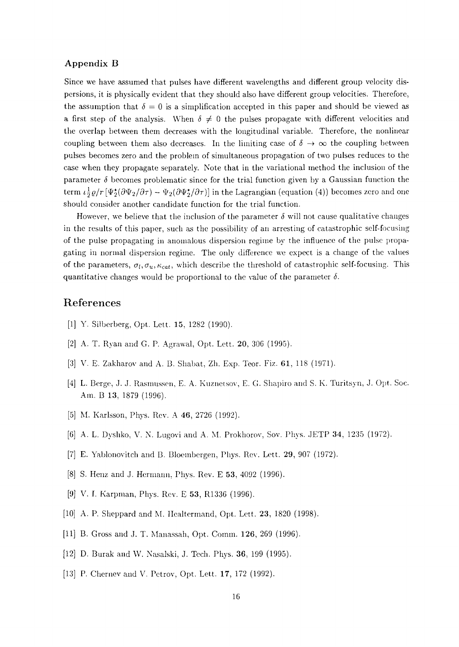#### Appendix B

Since we have assumed that pulses have different wavelengths and different group velocity dispersions, it is physically evident that they should also have different group velocities. Therefore, the assumption that  $\delta = 0$  is a simplification accepted in this paper and should be viewed as a first step of the analysis. When  $\delta \neq 0$  the pulses propagate with different velocities and the overlap between them decreases with the longitudinal variable. Therefore, the nonlinear coupling between them also decreases. In the limiting case of  $\delta \to \infty$  the coupling between pulses becomes zero and the problem of simultaneous propagation of two pulses reduces to the case when they propagate separately. Note that in the variational method the inclusion of the parameter  $\delta$  becomes problematic since for the trial function given by a Gaussian function the term  $\iota^{\frac{1}{2}} \varrho / r \left[\Psi_2^*(\partial \Psi_2 / \partial \tau) - \Psi_2(\partial \Psi_2^* / \partial \tau)\right]$  in the Lagrangian (equation (4)) becomes zero and one should consider another candidate function for the trial function.

However, we believe that the inclusion of the parameter  $\delta$  will not cause qualitative changes in the results of this paper, such as the possibility of an arresting of catastrophic self-focusing of the pulse propagating in anomalous dispersion regime by the influence of the pulse propagating in normal dispersion regime. The only difference we expect is a change of the values of the parameters,  $\sigma_l, \sigma_u, \kappa_{cat}$ , which describe the threshold of catastrophic self-focusing. This quantitative changes would be proportional to the value of the parameter *5.*

## References

- [1] Y. Silberberg, Opt. Lett. 15, 1282 (1990).
- [2] A. T. Ryan and G. P. Agrawal, Opt. Lett. 20, 306 (1995).
- [3] V. E. Zakharov and A. B. Shabat, Zh. Exp. Teor. Fiz. 61, 118 (1971).
- [4] L. Berge, J. J. Rasmussen, E. A. Kuznetsov, E. G. Shapiro and S. K. Turitsyn, J. Opt. Soc. Am. B 13, 1879 (1996).
- [5] M. Karlsson, Phys. Rev. A 46, 2726 (1992).
- [6] A. L. Dyshko, V. N. Lugovi and A. M. Prokhorov, Sow Phys. JETP 34, 1235 (1972).
- [7] E. Yablonovitch and B. Bloembergen, Phys. Rev. Lett. 29, 907 (1972).
- [8] S. Henz and J. Hermann, Phys. Rev. E 53, 4092 (1996).
- [9] V. I. Karpman, Phys. Rev. E 53, R1336 (1996).
- [10] A. P. Sheppard and M. Healtermand, Opt. Lett. 23, 1820 (1998).
- [11] B. Gross and J. T. Manassah, Opt. Comm. 126, 269 (1996).
- [12] D. Burak and W. Nasalski, J. Tech. Phys. 36, 199 (1995).
- [13] P. Chernev and V. Petrov, Opt. Lett. 17, 172 (1992).